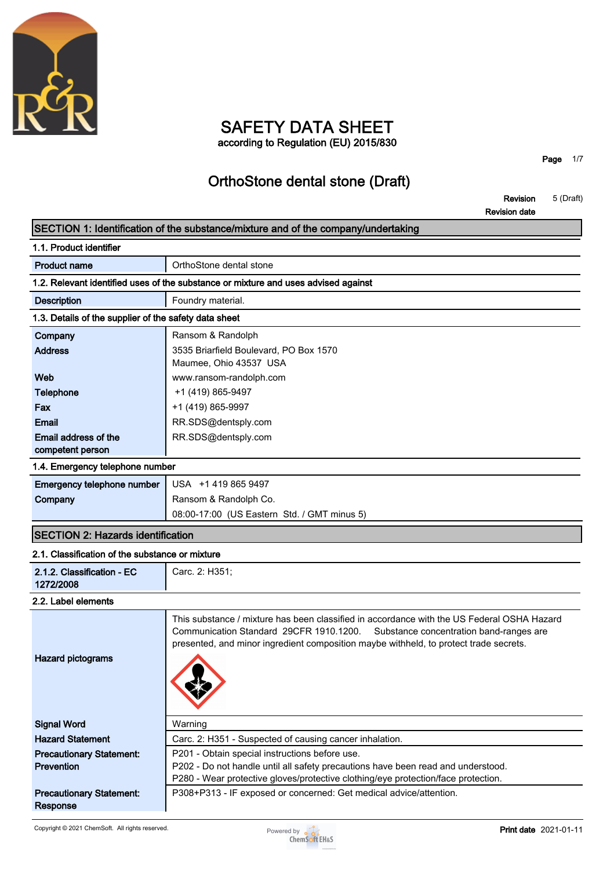

### **SAFETY DATA SHEET according to Regulation (EU) 2015/830**

**Page 1/7**

## **OrthoStone dental stone (Draft)**

**Revision 5 (Draft) Revision date**

### **SECTION 1: Identification of the substance/mixture and of the company/undertaking**

| 1.1. Product identifier                               |                                                                                                                                                                                                                                                                           |
|-------------------------------------------------------|---------------------------------------------------------------------------------------------------------------------------------------------------------------------------------------------------------------------------------------------------------------------------|
| <b>Product name</b>                                   | OrthoStone dental stone                                                                                                                                                                                                                                                   |
|                                                       | 1.2. Relevant identified uses of the substance or mixture and uses advised against                                                                                                                                                                                        |
| <b>Description</b>                                    | Foundry material.                                                                                                                                                                                                                                                         |
| 1.3. Details of the supplier of the safety data sheet |                                                                                                                                                                                                                                                                           |
| Company                                               | Ransom & Randolph                                                                                                                                                                                                                                                         |
| <b>Address</b>                                        | 3535 Briarfield Boulevard, PO Box 1570<br>Maumee, Ohio 43537 USA                                                                                                                                                                                                          |
| Web                                                   | www.ransom-randolph.com                                                                                                                                                                                                                                                   |
| <b>Telephone</b>                                      | +1 (419) 865-9497                                                                                                                                                                                                                                                         |
| Fax                                                   | +1 (419) 865-9997                                                                                                                                                                                                                                                         |
| <b>Email</b>                                          | RR.SDS@dentsply.com                                                                                                                                                                                                                                                       |
| Email address of the<br>competent person              | RR.SDS@dentsply.com                                                                                                                                                                                                                                                       |
| 1.4. Emergency telephone number                       |                                                                                                                                                                                                                                                                           |
| Emergency telephone number                            | USA +1 419 865 9497                                                                                                                                                                                                                                                       |
| Company                                               | Ransom & Randolph Co.                                                                                                                                                                                                                                                     |
|                                                       | 08:00-17:00 (US Eastern Std. / GMT minus 5)                                                                                                                                                                                                                               |
| <b>SECTION 2: Hazards identification</b>              |                                                                                                                                                                                                                                                                           |
| 2.1. Classification of the substance or mixture       |                                                                                                                                                                                                                                                                           |
| 2.1.2. Classification - EC<br>1272/2008               | Carc. 2: H351;                                                                                                                                                                                                                                                            |
| 2.2. Label elements                                   |                                                                                                                                                                                                                                                                           |
| <b>Hazard pictograms</b>                              | This substance / mixture has been classified in accordance with the US Federal OSHA Hazard<br>Communication Standard 29CFR 1910.1200.<br>Substance concentration band-ranges are<br>presented, and minor ingredient composition maybe withheld, to protect trade secrets. |
| <b>Signal Word</b>                                    | Warning                                                                                                                                                                                                                                                                   |
| <b>Hazard Statement</b>                               | Carc. 2: H351 - Suspected of causing cancer inhalation.                                                                                                                                                                                                                   |
| <b>Precautionary Statement:</b>                       | P201 - Obtain special instructions before use.                                                                                                                                                                                                                            |
| Prevention                                            | P202 - Do not handle until all safety precautions have been read and understood.<br>P280 - Wear protective gloves/protective clothing/eye protection/face protection.                                                                                                     |
|                                                       |                                                                                                                                                                                                                                                                           |

**P308+P313 - IF exposed or concerned: Get medical advice/attention.**

**Precautionary Statement: Response**

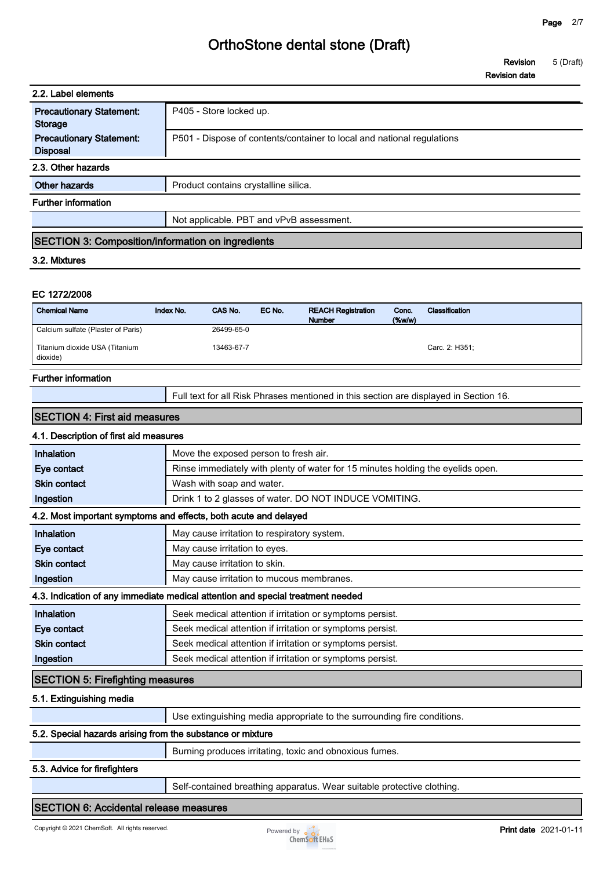**Revision 5 (Draft)**

|                                                                                  |           |                                       |        |                                                                                       |                       | <b>Revision date</b> |  |
|----------------------------------------------------------------------------------|-----------|---------------------------------------|--------|---------------------------------------------------------------------------------------|-----------------------|----------------------|--|
| 2.2. Label elements                                                              |           |                                       |        |                                                                                       |                       |                      |  |
| <b>Precautionary Statement:</b><br><b>Storage</b>                                |           | P405 - Store locked up.               |        |                                                                                       |                       |                      |  |
| <b>Precautionary Statement:</b><br><b>Disposal</b>                               |           |                                       |        | P501 - Dispose of contents/container to local and national regulations                |                       |                      |  |
| 2.3. Other hazards                                                               |           |                                       |        |                                                                                       |                       |                      |  |
| <b>Other hazards</b>                                                             |           | Product contains crystalline silica.  |        |                                                                                       |                       |                      |  |
| <b>Further information</b>                                                       |           |                                       |        |                                                                                       |                       |                      |  |
|                                                                                  |           |                                       |        | Not applicable. PBT and vPvB assessment.                                              |                       |                      |  |
| SECTION 3: Composition/information on ingredients                                |           |                                       |        |                                                                                       |                       |                      |  |
|                                                                                  |           |                                       |        |                                                                                       |                       |                      |  |
| 3.2. Mixtures                                                                    |           |                                       |        |                                                                                       |                       |                      |  |
| EC 1272/2008<br><b>Chemical Name</b>                                             | Index No. | CAS No.                               | EC No. | <b>REACH Registration</b><br><b>Number</b>                                            | Conc.<br>$($ %w/w $)$ | Classification       |  |
| Calcium sulfate (Plaster of Paris)<br>Titanium dioxide USA (Titanium<br>dioxide) |           | 26499-65-0<br>13463-67-7              |        |                                                                                       |                       | Carc. 2: H351;       |  |
| <b>Further information</b>                                                       |           |                                       |        |                                                                                       |                       |                      |  |
|                                                                                  |           |                                       |        | Full text for all Risk Phrases mentioned in this section are displayed in Section 16. |                       |                      |  |
| <b>SECTION 4: First aid measures</b>                                             |           |                                       |        |                                                                                       |                       |                      |  |
| 4.1. Description of first aid measures                                           |           |                                       |        |                                                                                       |                       |                      |  |
| Inhalation                                                                       |           | Move the exposed person to fresh air. |        |                                                                                       |                       |                      |  |
| Eye contact                                                                      |           |                                       |        | Rinse immediately with plenty of water for 15 minutes holding the eyelids open.       |                       |                      |  |

### **4.2. Most important symptoms and effects, both acute and delayed**

**Ingestion Drink 1 to 2 glasses of water. DO NOT INDUCE VOMITING.** 

| <b>Inhalation</b>   | May cause irritation to respiratory system.                                     |
|---------------------|---------------------------------------------------------------------------------|
| Eye contact         | May cause irritation to eyes.                                                   |
| <b>Skin contact</b> | May cause irritation to skin.                                                   |
| Ingestion           | May cause irritation to mucous membranes.                                       |
|                     | 4.3. Indication of any immediate medical attention and special treatment needed |
| Inhalation          | Seek medical attention if irritation or symptoms persist.                       |
| Eye contact         | Seek medical attention if irritation or symptoms persist.                       |
| <b>Skin contact</b> | Seek medical attention if irritation or symptoms persist.                       |
| Ingestion           | Seek medical attention if irritation or symptoms persist.                       |

#### **SECTION 5: Firefighting measures**

#### **5.1. Extinguishing media**

|                                                            | Use extinguishing media appropriate to the surrounding fire conditions. |
|------------------------------------------------------------|-------------------------------------------------------------------------|
| 5.2. Special hazards arising from the substance or mixture |                                                                         |
|                                                            | Burning produces irritating, toxic and obnoxious fumes.                 |

#### **5.3. Advice for firefighters**

**Self-contained breathing apparatus. Wear suitable protective clothing.**

#### **SECTION 6: Accidental release measures**

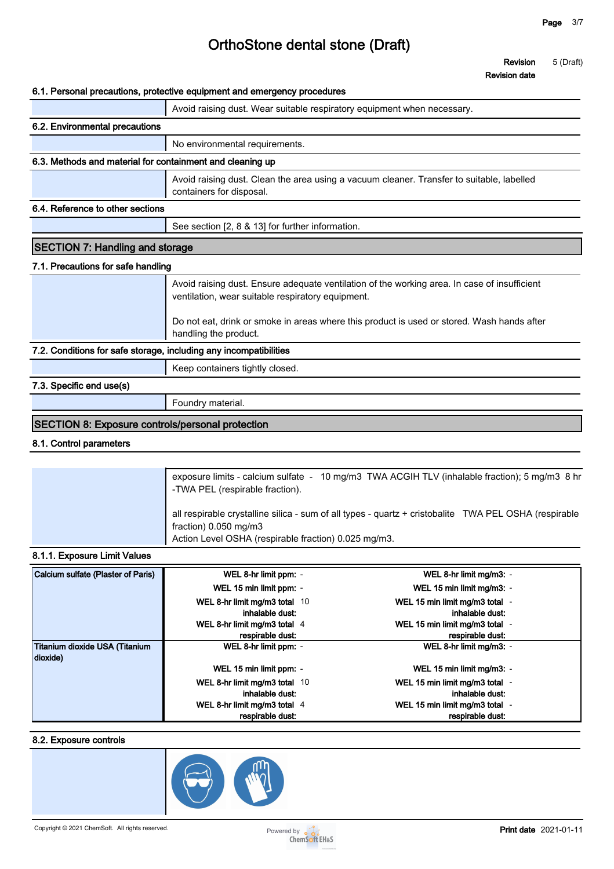**Revision 5 (Draft)**

**Revision date**

#### **6.1. Personal precautions, protective equipment and emergency procedures**

|                                                                   | o. i. Personal precaduons, protective equipment and emergency procedures                                                                          |
|-------------------------------------------------------------------|---------------------------------------------------------------------------------------------------------------------------------------------------|
|                                                                   | Avoid raising dust. Wear suitable respiratory equipment when necessary.                                                                           |
| 6.2. Environmental precautions                                    |                                                                                                                                                   |
|                                                                   | No environmental requirements.                                                                                                                    |
| 6.3. Methods and material for containment and cleaning up         |                                                                                                                                                   |
|                                                                   | Avoid raising dust. Clean the area using a vacuum cleaner. Transfer to suitable, labelled<br>containers for disposal.                             |
| 6.4. Reference to other sections                                  |                                                                                                                                                   |
|                                                                   | See section [2, 8 & 13] for further information.                                                                                                  |
| <b>SECTION 7: Handling and storage</b>                            |                                                                                                                                                   |
| 7.1. Precautions for safe handling                                |                                                                                                                                                   |
|                                                                   | Avoid raising dust. Ensure adequate ventilation of the working area. In case of insufficient<br>ventilation, wear suitable respiratory equipment. |
|                                                                   | Do not eat, drink or smoke in areas where this product is used or stored. Wash hands after<br>handling the product.                               |
| 7.2. Conditions for safe storage, including any incompatibilities |                                                                                                                                                   |
|                                                                   | Keep containers tightly closed.                                                                                                                   |
| 7.3. Specific end use(s)                                          |                                                                                                                                                   |
|                                                                   | Foundry material.                                                                                                                                 |
| <b>SECTION 8: Exposure controls/personal protection</b>           |                                                                                                                                                   |

#### **8.1. Control parameters**

| exposure limits - calcium sulfate - 10 mg/m3 TWA ACGIH TLV (inhalable fraction); 5 mg/m3 8 hr<br>-TWA PEL (respirable fraction).                                                       |
|----------------------------------------------------------------------------------------------------------------------------------------------------------------------------------------|
| all respirable crystalline silica - sum of all types - quartz + cristobalite TWA PEL OSHA (respirable<br>fraction) 0.050 mg/m3<br>Action Level OSHA (respirable fraction) 0.025 mg/m3. |

#### **8.1.1. Exposure Limit Values**

| Calcium sulfate (Plaster of Paris)         | WEL 8-hr limit ppm: -                              | WEL 8-hr limit mg/m3: -                            |
|--------------------------------------------|----------------------------------------------------|----------------------------------------------------|
|                                            | WEL 15 min limit ppm: -                            | WEL 15 min limit mg/m3: -                          |
|                                            | WEL 8-hr limit mg/m3 total 10<br>inhalable dust:   | WEL 15 min limit mg/m3 total -<br>inhalable dust:  |
|                                            | WEL 8-hr limit mg/m3 total $4$<br>respirable dust: | WEL 15 min limit mg/m3 total -<br>respirable dust: |
| Titanium dioxide USA (Titanium<br>dioxide) | WEL 8-hr limit ppm: -                              | WEL 8-hr limit mg/m3: -                            |
|                                            | WEL 15 min limit ppm: -                            | WEL 15 min limit mg/m3: -                          |
|                                            | WEL 8-hr limit mg/m3 total 10<br>inhalable dust:   | WEL 15 min limit mg/m3 total -<br>inhalable dust:  |
|                                            | WEL 8-hr limit mg/m3 total 4<br>respirable dust:   | WEL 15 min limit mg/m3 total -<br>respirable dust: |

#### **8.2. Exposure controls**



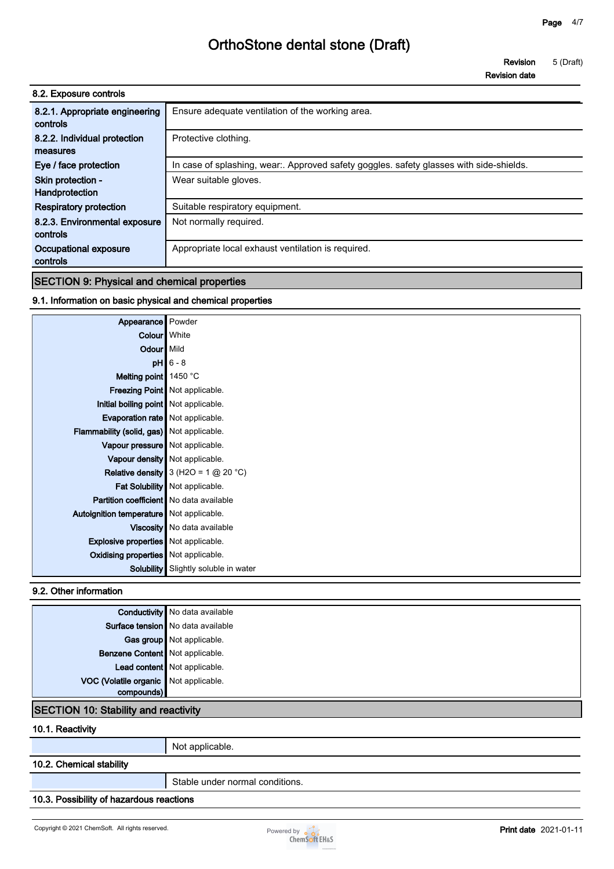**Revision 5 (Draft)**

**Revision date**

| 8.2. Exposure controls                     |                                                                                        |
|--------------------------------------------|----------------------------------------------------------------------------------------|
| 8.2.1. Appropriate engineering<br>controls | Ensure adequate ventilation of the working area.                                       |
| 8.2.2. Individual protection<br>measures   | Protective clothing.                                                                   |
| Eye / face protection                      | In case of splashing, wear. Approved safety goggles. safety glasses with side-shields. |
| Skin protection -<br>Handprotection        | Wear suitable gloves.                                                                  |
| <b>Respiratory protection</b>              | Suitable respiratory equipment.                                                        |
| 8.2.3. Environmental exposure<br>controls  | Not normally required.                                                                 |
| Occupational exposure<br>controls          | Appropriate local exhaust ventilation is required.                                     |

#### **SECTION 9: Physical and chemical properties**

#### **9.1. Information on basic physical and chemical properties**

| Appearance Powder                              |                                          |
|------------------------------------------------|------------------------------------------|
| Colour White                                   |                                          |
| Odour Mild                                     |                                          |
|                                                | $pH$ 6 - 8                               |
| Melting point $\vert$ 1450 °C                  |                                          |
|                                                | Freezing Point   Not applicable.         |
| Initial boiling point   Not applicable.        |                                          |
| Evaporation rate   Not applicable.             |                                          |
| Flammability (solid, gas) Not applicable.      |                                          |
| Vapour pressure Not applicable.                |                                          |
|                                                | Vapour density   Not applicable.         |
|                                                | Relative density $3$ (H2O = 1 $@$ 20 °C) |
|                                                | Fat Solubility   Not applicable.         |
| <b>Partition coefficient</b> No data available |                                          |
| Autoignition temperature Not applicable.       |                                          |
|                                                | Viscosity   No data available            |
| <b>Explosive properties</b> Not applicable.    |                                          |
| <b>Oxidising properties</b> Not applicable.    |                                          |
| Solubility                                     | Slightly soluble in water                |

#### **9.2. Other information**

|                                             | <b>Conductivity</b> No data available |
|---------------------------------------------|---------------------------------------|
|                                             | Surface tension No data available     |
|                                             | Gas group Not applicable.             |
| Benzene Content Not applicable.             |                                       |
|                                             | Lead content Not applicable.          |
| VOC (Volatile organic Not applicable.       |                                       |
| compounds)                                  |                                       |
| <b>SECTION 10: Stability and reactivity</b> |                                       |

#### **10.1. Reactivity**

**Not applicable.**

#### **10.2. Chemical stability**

**Stable under normal conditions.**

#### **10.3. Possibility of hazardous reactions**

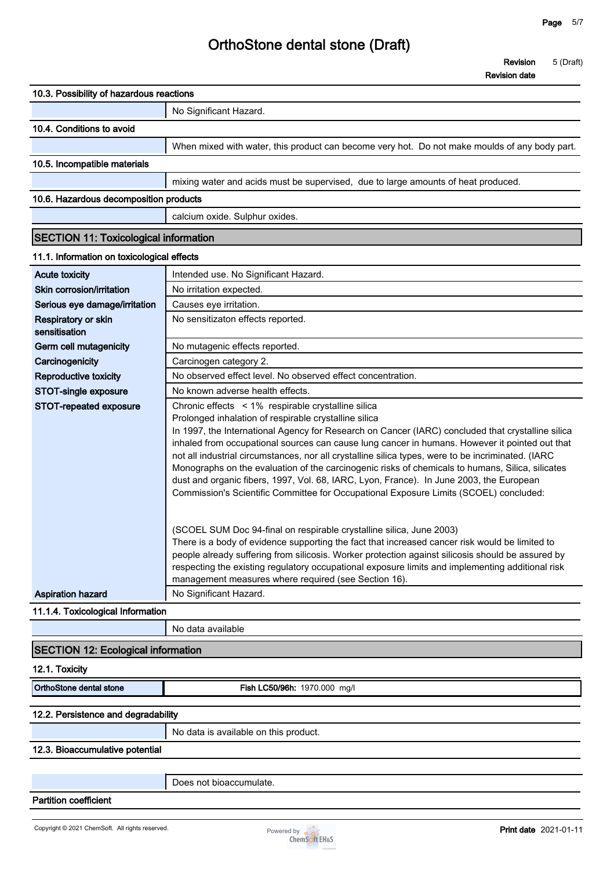**Revision 5 (Draft)**

|                                              | <b>Revision date</b>                                                                                                                                                                                                                                                                                                                                                                                                                                                                                                                                                                                                                                                                                                                                                                     |
|----------------------------------------------|------------------------------------------------------------------------------------------------------------------------------------------------------------------------------------------------------------------------------------------------------------------------------------------------------------------------------------------------------------------------------------------------------------------------------------------------------------------------------------------------------------------------------------------------------------------------------------------------------------------------------------------------------------------------------------------------------------------------------------------------------------------------------------------|
| 10.3. Possibility of hazardous reactions     |                                                                                                                                                                                                                                                                                                                                                                                                                                                                                                                                                                                                                                                                                                                                                                                          |
|                                              | No Significant Hazard.                                                                                                                                                                                                                                                                                                                                                                                                                                                                                                                                                                                                                                                                                                                                                                   |
| 10.4. Conditions to avoid                    |                                                                                                                                                                                                                                                                                                                                                                                                                                                                                                                                                                                                                                                                                                                                                                                          |
|                                              | When mixed with water, this product can become very hot. Do not make moulds of any body part.                                                                                                                                                                                                                                                                                                                                                                                                                                                                                                                                                                                                                                                                                            |
| 10.5. Incompatible materials                 |                                                                                                                                                                                                                                                                                                                                                                                                                                                                                                                                                                                                                                                                                                                                                                                          |
|                                              | mixing water and acids must be supervised, due to large amounts of heat produced.                                                                                                                                                                                                                                                                                                                                                                                                                                                                                                                                                                                                                                                                                                        |
| 10.6. Hazardous decomposition products       |                                                                                                                                                                                                                                                                                                                                                                                                                                                                                                                                                                                                                                                                                                                                                                                          |
|                                              |                                                                                                                                                                                                                                                                                                                                                                                                                                                                                                                                                                                                                                                                                                                                                                                          |
|                                              | calcium oxide. Sulphur oxides.                                                                                                                                                                                                                                                                                                                                                                                                                                                                                                                                                                                                                                                                                                                                                           |
| <b>SECTION 11: Toxicological information</b> |                                                                                                                                                                                                                                                                                                                                                                                                                                                                                                                                                                                                                                                                                                                                                                                          |
| 11.1. Information on toxicological effects   |                                                                                                                                                                                                                                                                                                                                                                                                                                                                                                                                                                                                                                                                                                                                                                                          |
| <b>Acute toxicity</b>                        | Intended use. No Significant Hazard.                                                                                                                                                                                                                                                                                                                                                                                                                                                                                                                                                                                                                                                                                                                                                     |
| Skin corrosion/irritation                    | No irritation expected.                                                                                                                                                                                                                                                                                                                                                                                                                                                                                                                                                                                                                                                                                                                                                                  |
| Serious eye damage/irritation                | Causes eye irritation.                                                                                                                                                                                                                                                                                                                                                                                                                                                                                                                                                                                                                                                                                                                                                                   |
| Respiratory or skin<br>sensitisation         | No sensitizaton effects reported.                                                                                                                                                                                                                                                                                                                                                                                                                                                                                                                                                                                                                                                                                                                                                        |
| Germ cell mutagenicity                       | No mutagenic effects reported.                                                                                                                                                                                                                                                                                                                                                                                                                                                                                                                                                                                                                                                                                                                                                           |
| Carcinogenicity                              | Carcinogen category 2.                                                                                                                                                                                                                                                                                                                                                                                                                                                                                                                                                                                                                                                                                                                                                                   |
| Reproductive toxicity                        | No observed effect level. No observed effect concentration.                                                                                                                                                                                                                                                                                                                                                                                                                                                                                                                                                                                                                                                                                                                              |
| STOT-single exposure                         | No known adverse health effects.                                                                                                                                                                                                                                                                                                                                                                                                                                                                                                                                                                                                                                                                                                                                                         |
| STOT-repeated exposure                       | Chronic effects < 1% respirable crystalline silica<br>Prolonged inhalation of respirable crystalline silica<br>In 1997, the International Agency for Research on Cancer (IARC) concluded that crystalline silica<br>inhaled from occupational sources can cause lung cancer in humans. However it pointed out that<br>not all industrial circumstances, nor all crystalline silica types, were to be incriminated. (IARC<br>Monographs on the evaluation of the carcinogenic risks of chemicals to humans, Silica, silicates<br>dust and organic fibers, 1997, Vol. 68, IARC, Lyon, France). In June 2003, the European<br>Commission's Scientific Committee for Occupational Exposure Limits (SCOEL) concluded:<br>(SCOEL SUM Doc 94-final on respirable crystalline silica, June 2003) |
|                                              | There is a body of evidence supporting the fact that increased cancer risk would be limited to<br>people already suffering from silicosis. Worker protection against silicosis should be assured by<br>respecting the existing regulatory occupational exposure limits and implementing additional risk<br>management measures where required (see Section 16).                                                                                                                                                                                                                                                                                                                                                                                                                          |
| <b>Aspiration hazard</b>                     | No Significant Hazard.                                                                                                                                                                                                                                                                                                                                                                                                                                                                                                                                                                                                                                                                                                                                                                   |
| 11.1.4. Toxicological Information            |                                                                                                                                                                                                                                                                                                                                                                                                                                                                                                                                                                                                                                                                                                                                                                                          |
|                                              | No data available                                                                                                                                                                                                                                                                                                                                                                                                                                                                                                                                                                                                                                                                                                                                                                        |
| <b>SECTION 12: Ecological information</b>    |                                                                                                                                                                                                                                                                                                                                                                                                                                                                                                                                                                                                                                                                                                                                                                                          |
| 12.1. Toxicity                               |                                                                                                                                                                                                                                                                                                                                                                                                                                                                                                                                                                                                                                                                                                                                                                                          |
| OrthoStone dental stone                      | Fish LC50/96h: 1970.000 mg/l                                                                                                                                                                                                                                                                                                                                                                                                                                                                                                                                                                                                                                                                                                                                                             |
|                                              |                                                                                                                                                                                                                                                                                                                                                                                                                                                                                                                                                                                                                                                                                                                                                                                          |
| 12.2. Persistence and degradability          |                                                                                                                                                                                                                                                                                                                                                                                                                                                                                                                                                                                                                                                                                                                                                                                          |
|                                              | No data is available on this product.                                                                                                                                                                                                                                                                                                                                                                                                                                                                                                                                                                                                                                                                                                                                                    |
|                                              |                                                                                                                                                                                                                                                                                                                                                                                                                                                                                                                                                                                                                                                                                                                                                                                          |

#### **12.3. Bioaccumulative potential**

**Partition coefficient**

**Does not bioaccumulate.**

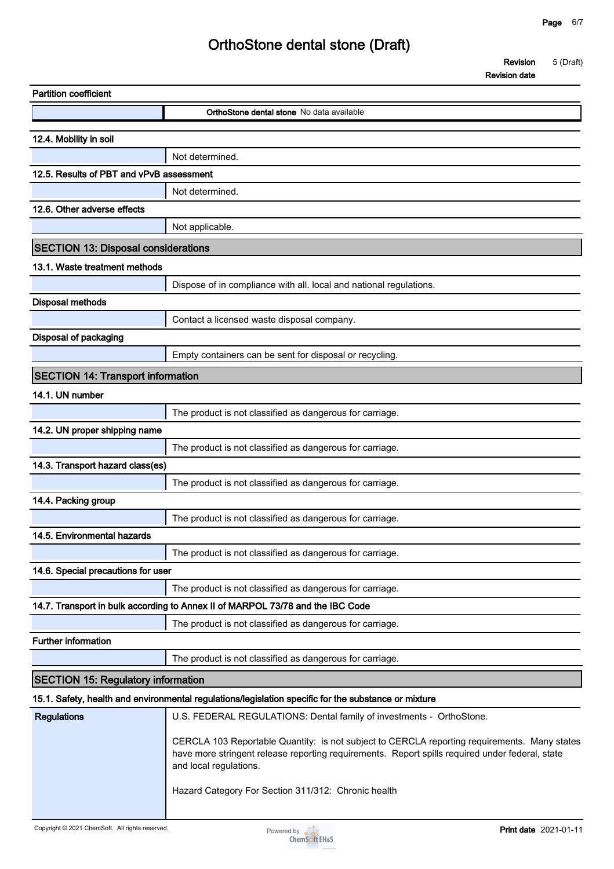**Revision 5 (Draft)**

**Revision date**

| <b>Partition coefficient</b>               |                                                                                                                                                                                                                                                                                  |
|--------------------------------------------|----------------------------------------------------------------------------------------------------------------------------------------------------------------------------------------------------------------------------------------------------------------------------------|
|                                            | <b>OrthoStone dental stone</b> No data available                                                                                                                                                                                                                                 |
| 12.4. Mobility in soil                     |                                                                                                                                                                                                                                                                                  |
|                                            | Not determined.                                                                                                                                                                                                                                                                  |
| 12.5. Results of PBT and vPvB assessment   |                                                                                                                                                                                                                                                                                  |
|                                            | Not determined.                                                                                                                                                                                                                                                                  |
| 12.6. Other adverse effects                |                                                                                                                                                                                                                                                                                  |
|                                            | Not applicable.                                                                                                                                                                                                                                                                  |
| <b>SECTION 13: Disposal considerations</b> |                                                                                                                                                                                                                                                                                  |
| 13.1. Waste treatment methods              |                                                                                                                                                                                                                                                                                  |
|                                            | Dispose of in compliance with all. local and national regulations.                                                                                                                                                                                                               |
| <b>Disposal methods</b>                    |                                                                                                                                                                                                                                                                                  |
|                                            | Contact a licensed waste disposal company.                                                                                                                                                                                                                                       |
| <b>Disposal of packaging</b>               |                                                                                                                                                                                                                                                                                  |
|                                            | Empty containers can be sent for disposal or recycling.                                                                                                                                                                                                                          |
| <b>SECTION 14: Transport information</b>   |                                                                                                                                                                                                                                                                                  |
| 14.1. UN number                            |                                                                                                                                                                                                                                                                                  |
|                                            | The product is not classified as dangerous for carriage.                                                                                                                                                                                                                         |
| 14.2. UN proper shipping name              |                                                                                                                                                                                                                                                                                  |
|                                            | The product is not classified as dangerous for carriage.                                                                                                                                                                                                                         |
| 14.3. Transport hazard class(es)           |                                                                                                                                                                                                                                                                                  |
|                                            | The product is not classified as dangerous for carriage.                                                                                                                                                                                                                         |
| 14.4. Packing group                        |                                                                                                                                                                                                                                                                                  |
|                                            | The product is not classified as dangerous for carriage.                                                                                                                                                                                                                         |
| 14.5. Environmental hazards                |                                                                                                                                                                                                                                                                                  |
|                                            | The product is not classified as dangerous for carriage.                                                                                                                                                                                                                         |
| 14.6. Special precautions for user         |                                                                                                                                                                                                                                                                                  |
|                                            | The product is not classified as dangerous for carriage.                                                                                                                                                                                                                         |
|                                            | 14.7. Transport in bulk according to Annex II of MARPOL 73/78 and the IBC Code<br>The product is not classified as dangerous for carriage.                                                                                                                                       |
| <b>Further information</b>                 |                                                                                                                                                                                                                                                                                  |
|                                            | The product is not classified as dangerous for carriage.                                                                                                                                                                                                                         |
| <b>SECTION 15: Regulatory information</b>  |                                                                                                                                                                                                                                                                                  |
|                                            |                                                                                                                                                                                                                                                                                  |
| <b>Regulations</b>                         | 15.1. Safety, health and environmental regulations/legislation specific for the substance or mixture<br>U.S. FEDERAL REGULATIONS: Dental family of investments - OrthoStone.                                                                                                     |
|                                            | CERCLA 103 Reportable Quantity: is not subject to CERCLA reporting requirements. Many states<br>have more stringent release reporting requirements. Report spills required under federal, state<br>and local regulations.<br>Hazard Category For Section 311/312: Chronic health |
|                                            |                                                                                                                                                                                                                                                                                  |